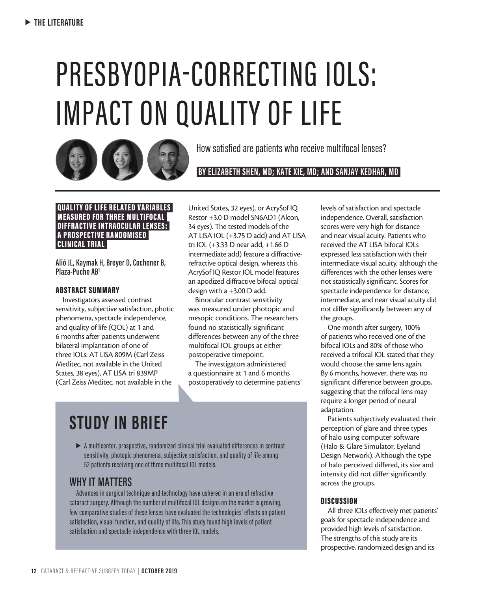# PRESBYOPIA-CORRECTING IOLS: IMPACT ON QUALITY OF LIFE



How satisfied are patients who receive multifocal lenses?

 **BY ELIZABETH SHEN, MD; KATE XIE, MD; AND SANJAY KEDHAR, MD** 

#### QUALITY OF LIFE RELATED VARIABLES MEASURED FOR THREE MULTIFOCAL DIFFRACTIVE INTRAOCULAR LENSES: A PROSPECTIVE RANDOMISED CLINICAL TRIAL

**Alió JL, Kaymak H, Breyer D, Cochener B, Plaza-Puche AB1**

#### ABSTRACT SUMMARY

Investigators assessed contrast sensitivity, subjective satisfaction, photic phenomena, spectacle independence, and quality of life (QOL) at 1 and 6 months after patients underwent bilateral implantation of one of three IOLs: AT LISA 809M (Carl Zeiss Meditec, not available in the United States, 38 eyes), AT LISA tri 839MP (Carl Zeiss Meditec, not available in the

United States, 32 eyes), or AcrySof IQ Restor +3.0 D model SN6AD1 (Alcon, 34 eyes). The tested models of the AT LISA IOL (+3.75 D add) and AT LISA tri IOL (+3.33 D near add, +1.66 D intermediate add) feature a diffractiverefractive optical design, whereas this AcrySof IQ Restor IOL model features an apodized diffractive bifocal optical design with a +3.00 D add.

Binocular contrast sensitivity was measured under photopic and mesopic conditions. The researchers found no statistically significant differences between any of the three multifocal IOL groups at either postoperative timepoint.

The investigators administered a questionnaire at 1 and 6 months postoperatively to determine patients'

# **STUDY IN BRIEF**

 $\triangleright$  A multicenter, prospective, randomized clinical trial evaluated differences in contrast sensitivity, photopic phenomena, subjective satisfaction, and quality of life among 52 patients receiving one of three multifocal IOL models.

## **WHY IT MATTERS**

Advances in surgical technique and technology have ushered in an era of refractive cataract surgery. Although the number of multifocal IOL designs on the market is growing, few comparative studies of these lenses have evaluated the technologies' effects on patient satisfaction, visual function, and quality of life. This study found high levels of patient satisfaction and spectacle independence with three IOL models.

levels of satisfaction and spectacle independence. Overall, satisfaction scores were very high for distance and near visual acuity. Patients who received the AT LISA bifocal IOLs expressed less satisfaction with their intermediate visual acuity, although the differences with the other lenses were not statistically significant. Scores for spectacle independence for distance, intermediate, and near visual acuity did not differ significantly between any of the groups.

One month after surgery, 100% of patients who received one of the bifocal IOLs and 80% of those who received a trifocal IOL stated that they would choose the same lens again. By 6 months, however, there was no significant difference between groups, suggesting that the trifocal lens may require a longer period of neural adaptation.

Patients subjectively evaluated their perception of glare and three types of halo using computer software (Halo & Glare Simulator, Eyeland Design Network). Although the type of halo perceived differed, its size and intensity did not differ significantly across the groups.

#### **DISCUSSION**

All three IOLs effectively met patients' goals for spectacle independence and provided high levels of satisfaction. The strengths of this study are its prospective, randomized design and its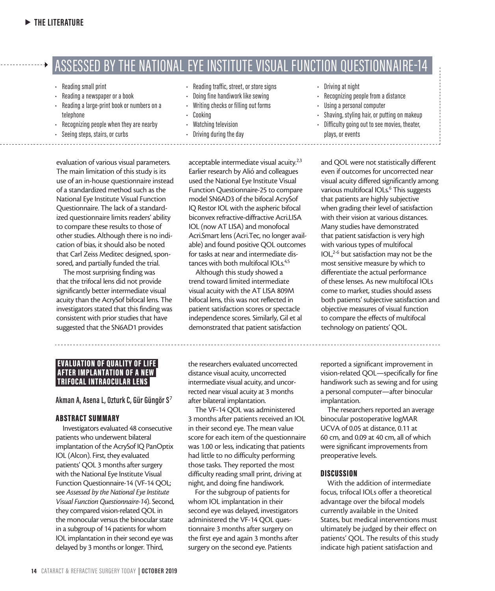## ASSESSED BY THE NATIONAL EYE INSTITUTE VISUAL FUNCTION QUESTIONNAIRE-14

• Reading traffic, street, or store signs • Doing fine handiwork like sewing

- Reading small print
- Reading a newspaper or a book
- Reading a large-print book or numbers on a telephone
- Recognizing people when they are nearby
- Seeing steps, stairs, or curbs
- Writing checks or filling out forms
	- Cooking
	- Watching television
	- Driving during the day

evaluation of various visual parameters. The main limitation of this study is its use of an in-house questionnaire instead of a standardized method such as the National Eye Institute Visual Function Questionnaire. The lack of a standardized questionnaire limits readers' ability to compare these results to those of other studies. Although there is no indication of bias, it should also be noted that Carl Zeiss Meditec designed, sponsored, and partially funded the trial.

The most surprising finding was that the trifocal lens did not provide significantly better intermediate visual acuity than the AcrySof bifocal lens. The investigators stated that this finding was consistent with prior studies that have suggested that the SN6AD1 provides

acceptable intermediate visual acuity.<sup>2,3</sup> Earlier research by Alió and colleagues used the National Eye Institute Visual Function Questionnaire-25 to compare model SN6AD3 of the bifocal AcrySof IQ Restor IOL with the aspheric bifocal biconvex refractive-diffractive Acri.LISA IOL (now AT LISA) and monofocal Acri.Smart lens (Acri.Tec, no longer available) and found positive QOL outcomes for tasks at near and intermediate distances with both multifocal IOLs.<sup>4,5</sup>

Although this study showed a trend toward limited intermediate visual acuity with the AT LISA 809M bifocal lens, this was not reflected in patient satisfaction scores or spectacle independence scores. Similarly, Gil et al demonstrated that patient satisfaction

the researchers evaluated uncorrected distance visual acuity, uncorrected intermediate visual acuity, and uncorrected near visual acuity at 3 months after bilateral implantation.

The VF-14 QOL was administered 3 months after patients received an IOL in their second eye. The mean value score for each item of the questionnaire was 1.00 or less, indicating that patients had little to no difficulty performing those tasks. They reported the most difficulty reading small print, driving at night, and doing fine handiwork.

For the subgroup of patients for whom IOL implantation in their second eye was delayed, investigators administered the VF-14 QOL questionnaire 3 months after surgery on the first eye and again 3 months after surgery on the second eye. Patients

- Driving at night
- Recognizing people from a distance
- Using a personal computer
- Shaving, styling hair, or putting on makeup
- Difficulty going out to see movies, theater, plays, or events

and QOL were not statistically different even if outcomes for uncorrected near visual acuity differed significantly among various multifocal IOLs.<sup>6</sup> This suggests that patients are highly subjective when grading their level of satisfaction with their vision at various distances. Many studies have demonstrated that patient satisfaction is very high with various types of multifocal  $IOL<sup>2-6</sup>$  but satisfaction may not be the most sensitive measure by which to differentiate the actual performance of these lenses. As new multifocal IOLs come to market, studies should assess both patients' subjective satisfaction and objective measures of visual function to compare the effects of multifocal technology on patients' QOL.

reported a significant improvement in vision-related QOL—specifically for fine handiwork such as sewing and for using a personal computer—after binocular implantation.

The researchers reported an average binocular postoperative logMAR UCVA of 0.05 at distance, 0.11 at 60 cm, and 0.09 at 40 cm, all of which were significant improvements from preoperative levels.

#### **DISCUSSION**

With the addition of intermediate focus, trifocal IOLs offer a theoretical advantage over the bifocal models currently available in the United States, but medical interventions must ultimately be judged by their effect on patients' QOL. The results of this study indicate high patient satisfaction and

#### EVALUATION OF QUALITY OF LIFE AFTER IMPLANTATION OF A NEW TRIFOCAL INTRAOCULAR LENS

**Akman A, Asena L, Ozturk C, Gür Güngör S**<sup>7</sup>

#### ABSTRACT SUMMARY

Investigators evaluated 48 consecutive patients who underwent bilateral implantation of the AcrySof IQ PanOptix IOL (Alcon). First, they evaluated patients' QOL 3 months after surgery with the National Eye Institute Visual Function Questionnaire-14 (VF-14 QOL; see *Assessed by the National Eye Institute Visual Function Questionnaire-14*). Second, they compared vision-related QOL in the monocular versus the binocular state in a subgroup of 14 patients for whom IOL implantation in their second eye was delayed by 3 months or longer. Third,